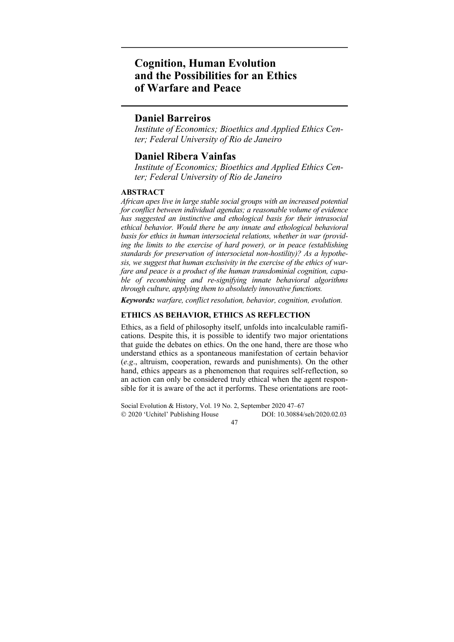# **Cognition, Human Evolution and the Possibilities for an Ethics of Warfare and Peace**

# **Daniel Barreiros**

*Institute of Economics; Bioethics and Applied Ethics Center; Federal University of Rio de Janeiro* 

# **Daniel Ribera Vainfas**

*Institute of Economics; Bioethics and Applied Ethics Center; Federal University of Rio de Janeiro* 

#### **ABSTRACT**

*African apes live in large stable social groups with an increased potential for conflict between individual agendas; a reasonable volume of evidence has suggested an instinctive and ethological basis for their intrasocial ethical behavior. Would there be any innate and ethological behavioral basis for ethics in human intersocietal relations, whether in war (providing the limits to the exercise of hard power), or in peace (establishing standards for preservation of intersocietal non-hostility)? As a hypothesis, we suggest that human exclusivity in the exercise of the ethics of warfare and peace is a product of the human transdominial cognition, capable of recombining and re-signifying innate behavioral algorithms through culture, applying them to absolutely innovative functions.* 

*Keywords: warfare, conflict resolution, behavior, cognition, evolution.* 

### **ETHICS AS BEHAVIOR, ETHICS AS REFLECTION**

Ethics, as a field of philosophy itself, unfolds into incalculable ramifications. Despite this, it is possible to identify two major orientations that guide the debates on ethics. On the one hand, there are those who understand ethics as a spontaneous manifestation of certain behavior (*e.g*., altruism, cooperation, rewards and punishments). On the other hand, ethics appears as a phenomenon that requires self-reflection, so an action can only be considered truly ethical when the agent responsible for it is aware of the act it performs. These orientations are root-

Social Evolution & History, Vol. 19 No. 2, September 2020 47–67 2020 'Uchitel' Publishing House DOI: 10.30884/seh/2020.02.03

47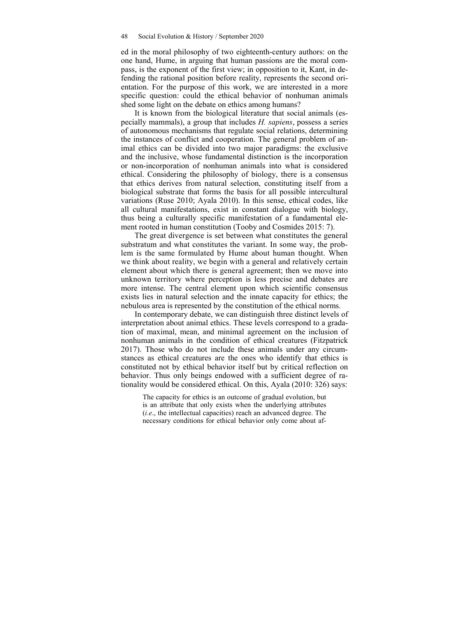ed in the moral philosophy of two eighteenth-century authors: on the one hand, Hume, in arguing that human passions are the moral compass, is the exponent of the first view; in opposition to it, Kant, in defending the rational position before reality, represents the second orientation. For the purpose of this work, we are interested in a more specific question: could the ethical behavior of nonhuman animals shed some light on the debate on ethics among humans?

It is known from the biological literature that social animals (especially mammals), a group that includes *H. sapiens*, possess a series of autonomous mechanisms that regulate social relations, determining the instances of conflict and cooperation. The general problem of animal ethics can be divided into two major paradigms: the exclusive and the inclusive, whose fundamental distinction is the incorporation or non-incorporation of nonhuman animals into what is considered ethical. Considering the philosophy of biology, there is a consensus that ethics derives from natural selection, constituting itself from a biological substrate that forms the basis for all possible intercultural variations (Ruse 2010; Ayala 2010). In this sense, ethical codes, like all cultural manifestations, exist in constant dialogue with biology, thus being a culturally specific manifestation of a fundamental element rooted in human constitution (Tooby and Cosmides 2015: 7).

The great divergence is set between what constitutes the general substratum and what constitutes the variant. In some way, the problem is the same formulated by Hume about human thought. When we think about reality, we begin with a general and relatively certain element about which there is general agreement; then we move into unknown territory where perception is less precise and debates are more intense. The central element upon which scientific consensus exists lies in natural selection and the innate capacity for ethics; the nebulous area is represented by the constitution of the ethical norms.

In contemporary debate, we can distinguish three distinct levels of interpretation about animal ethics. These levels correspond to a gradation of maximal, mean, and minimal agreement on the inclusion of nonhuman animals in the condition of ethical creatures (Fitzpatrick 2017). Those who do not include these animals under any circumstances as ethical creatures are the ones who identify that ethics is constituted not by ethical behavior itself but by critical reflection on behavior. Thus only beings endowed with a sufficient degree of rationality would be considered ethical. On this, Ayala (2010: 326) says:

The capacity for ethics is an outcome of gradual evolution, but is an attribute that only exists when the underlying attributes (*i.e*., the intellectual capacities) reach an advanced degree. The necessary conditions for ethical behavior only come about af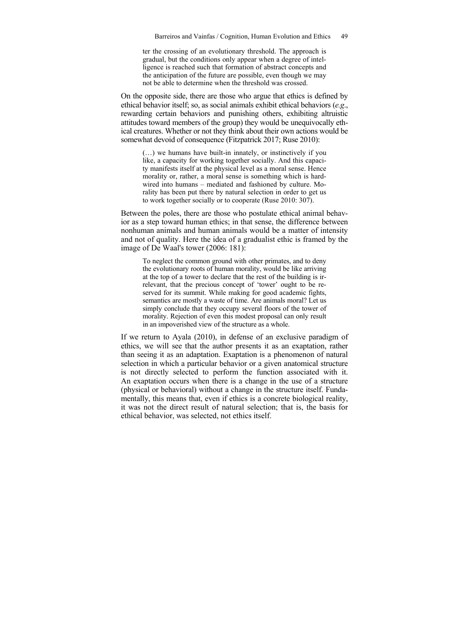ter the crossing of an evolutionary threshold. The approach is gradual, but the conditions only appear when a degree of intelligence is reached such that formation of abstract concepts and the anticipation of the future are possible, even though we may not be able to determine when the threshold was crossed.

On the opposite side, there are those who argue that ethics is defined by ethical behavior itself; so, as social animals exhibit ethical behaviors (*e.g*., rewarding certain behaviors and punishing others, exhibiting altruistic attitudes toward members of the group) they would be unequivocally ethical creatures. Whether or not they think about their own actions would be somewhat devoid of consequence (Fitzpatrick 2017; Ruse 2010):

(…) we humans have built-in innately, or instinctively if you like, a capacity for working together socially. And this capacity manifests itself at the physical level as a moral sense. Hence morality or, rather, a moral sense is something which is hardwired into humans – mediated and fashioned by culture. Morality has been put there by natural selection in order to get us to work together socially or to cooperate (Ruse 2010: 307).

Between the poles, there are those who postulate ethical animal behavior as a step toward human ethics; in that sense, the difference between nonhuman animals and human animals would be a matter of intensity and not of quality. Here the idea of a gradualist ethic is framed by the image of De Waal's tower (2006: 181):

To neglect the common ground with other primates, and to deny the evolutionary roots of human morality, would be like arriving at the top of a tower to declare that the rest of the building is irrelevant, that the precious concept of 'tower' ought to be reserved for its summit. While making for good academic fights, semantics are mostly a waste of time. Are animals moral? Let us simply conclude that they occupy several floors of the tower of morality. Rejection of even this modest proposal can only result in an impoverished view of the structure as a whole.

If we return to Ayala (2010), in defense of an exclusive paradigm of ethics, we will see that the author presents it as an exaptation, rather than seeing it as an adaptation. Exaptation is a phenomenon of natural selection in which a particular behavior or a given anatomical structure is not directly selected to perform the function associated with it. An exaptation occurs when there is a change in the use of a structure (physical or behavioral) without a change in the structure itself. Fundamentally, this means that, even if ethics is a concrete biological reality, it was not the direct result of natural selection; that is, the basis for ethical behavior, was selected, not ethics itself.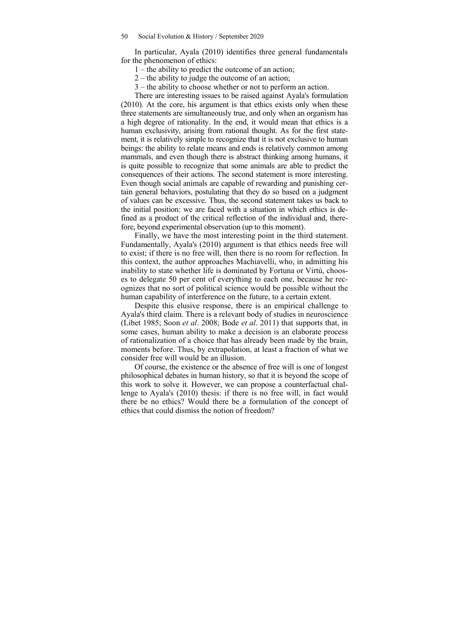In particular, Ayala (2010) identifies three general fundamentals for the phenomenon of ethics:

- 1 the ability to predict the outcome of an action;
- 2 the ability to judge the outcome of an action;
- 3 the ability to choose whether or not to perform an action.

There are interesting issues to be raised against Ayala's formulation (2010). At the core, his argument is that ethics exists only when these three statements are simultaneously true, and only when an organism has a high degree of rationality. In the end, it would mean that ethics is a human exclusivity, arising from rational thought. As for the first statement, it is relatively simple to recognize that it is not exclusive to human beings: the ability to relate means and ends is relatively common among mammals, and even though there is abstract thinking among humans, it is quite possible to recognize that some animals are able to predict the consequences of their actions. The second statement is more interesting. Even though social animals are capable of rewarding and punishing certain general behaviors, postulating that they do so based on a judgment of values can be excessive. Thus, the second statement takes us back to the initial position: we are faced with a situation in which ethics is defined as a product of the critical reflection of the individual and, therefore, beyond experimental observation (up to this moment).

Finally, we have the most interesting point in the third statement. Fundamentally, Ayala's (2010) argument is that ethics needs free will to exist; if there is no free will, then there is no room for reflection. In this context, the author approaches Machiavelli, who, in admitting his inability to state whether life is dominated by Fortuna or Virtù, chooses to delegate 50 per cent of everything to each one, because he recognizes that no sort of political science would be possible without the human capability of interference on the future, to a certain extent.

Despite this elusive response, there is an empirical challenge to Ayala's third claim. There is a relevant body of studies in neuroscience (Libet 1985; Soon *et al*. 2008; Bode *et al*. 2011) that supports that, in some cases, human ability to make a decision is an elaborate process of rationalization of a choice that has already been made by the brain, moments before. Thus, by extrapolation, at least a fraction of what we consider free will would be an illusion.

Of course, the existence or the absence of free will is one of longest philosophical debates in human history, so that it is beyond the scope of this work to solve it. However, we can propose a counterfactual challenge to Ayala's (2010) thesis: if there is no free will, in fact would there be no ethics? Would there be a formulation of the concept of ethics that could dismiss the notion of freedom?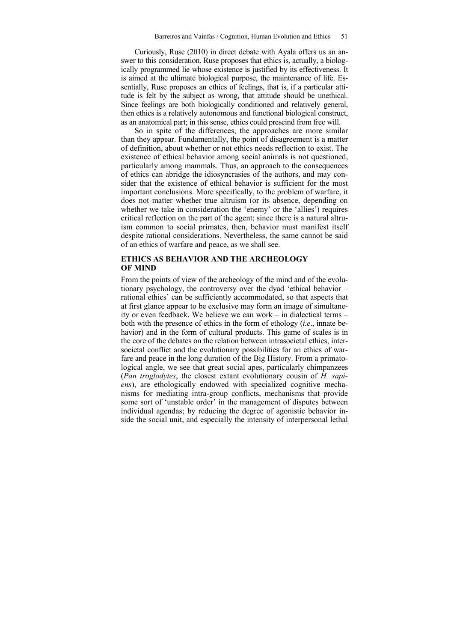Curiously, Ruse (2010) in direct debate with Ayala offers us an answer to this consideration. Ruse proposes that ethics is, actually, a biologically programmed lie whose existence is justified by its effectiveness. It is aimed at the ultimate biological purpose, the maintenance of life. Essentially, Ruse proposes an ethics of feelings, that is, if a particular attitude is felt by the subject as wrong, that attitude should be unethical. Since feelings are both biologically conditioned and relatively general, then ethics is a relatively autonomous and functional biological construct, as an anatomical part; in this sense, ethics could prescind from free will.

So in spite of the differences, the approaches are more similar than they appear. Fundamentally, the point of disagreement is a matter of definition, about whether or not ethics needs reflection to exist. The existence of ethical behavior among social animals is not questioned, particularly among mammals. Thus, an approach to the consequences of ethics can abridge the idiosyncrasies of the authors, and may consider that the existence of ethical behavior is sufficient for the most important conclusions. More specifically, to the problem of warfare, it does not matter whether true altruism (or its absence, depending on whether we take in consideration the 'enemy' or the 'allies') requires critical reflection on the part of the agent; since there is a natural altruism common to social primates, then, behavior must manifest itself despite rational considerations. Nevertheless, the same cannot be said of an ethics of warfare and peace, as we shall see.

#### **ETHICS AS BEHAVIOR AND THE ARCHEOLOGY OF MIND**

From the points of view of the archeology of the mind and of the evolutionary psychology, the controversy over the dyad 'ethical behavior – rational ethics' can be sufficiently accommodated, so that aspects that at first glance appear to be exclusive may form an image of simultaneity or even feedback. We believe we can work – in dialectical terms – both with the presence of ethics in the form of ethology (*i.e*., innate behavior) and in the form of cultural products. This game of scales is in the core of the debates on the relation between intrasocietal ethics, intersocietal conflict and the evolutionary possibilities for an ethics of warfare and peace in the long duration of the Big History. From a primatological angle, we see that great social apes, particularly chimpanzees (*Pan troglodytes*, the closest extant evolutionary cousin of *H. sapiens*), are ethologically endowed with specialized cognitive mechanisms for mediating intra-group conflicts, mechanisms that provide some sort of 'unstable order' in the management of disputes between individual agendas; by reducing the degree of agonistic behavior inside the social unit, and especially the intensity of interpersonal lethal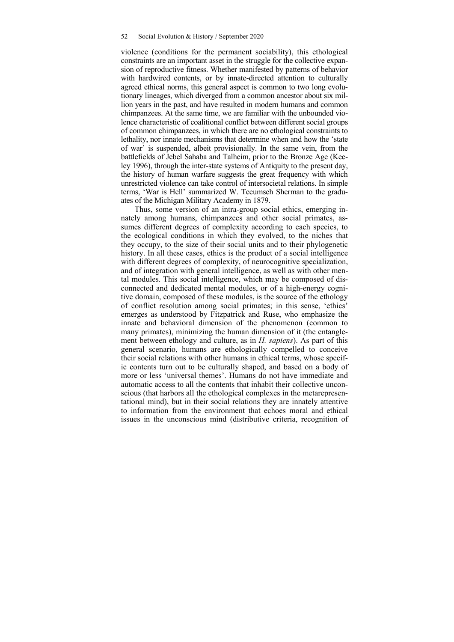violence (conditions for the permanent sociability), this ethological constraints are an important asset in the struggle for the collective expansion of reproductive fitness. Whether manifested by patterns of behavior with hardwired contents, or by innate-directed attention to culturally agreed ethical norms, this general aspect is common to two long evolutionary lineages, which diverged from a common ancestor about six million years in the past, and have resulted in modern humans and common chimpanzees. At the same time, we are familiar with the unbounded violence characteristic of coalitional conflict between different social groups of common chimpanzees, in which there are no ethological constraints to lethality, nor innate mechanisms that determine when and how the 'state of war' is suspended, albeit provisionally. In the same vein, from the battlefields of Jebel Sahaba and Talheim, prior to the Bronze Age (Keeley 1996), through the inter-state systems of Antiquity to the present day, the history of human warfare suggests the great frequency with which unrestricted violence can take control of intersocietal relations. In simple terms, 'War is Hell' summarized W. Tecumseh Sherman to the graduates of the Michigan Military Academy in 1879.

Thus, some version of an intra-group social ethics, emerging innately among humans, chimpanzees and other social primates, assumes different degrees of complexity according to each species, to the ecological conditions in which they evolved, to the niches that they occupy, to the size of their social units and to their phylogenetic history. In all these cases, ethics is the product of a social intelligence with different degrees of complexity, of neurocognitive specialization, and of integration with general intelligence, as well as with other mental modules. This social intelligence, which may be composed of disconnected and dedicated mental modules, or of a high-energy cognitive domain, composed of these modules, is the source of the ethology of conflict resolution among social primates; in this sense, 'ethics' emerges as understood by Fitzpatrick and Ruse, who emphasize the innate and behavioral dimension of the phenomenon (common to many primates), minimizing the human dimension of it (the entanglement between ethology and culture, as in *H. sapiens*). As part of this general scenario, humans are ethologically compelled to conceive their social relations with other humans in ethical terms, whose specific contents turn out to be culturally shaped, and based on a body of more or less 'universal themes'. Humans do not have immediate and automatic access to all the contents that inhabit their collective unconscious (that harbors all the ethological complexes in the metarepresentational mind), but in their social relations they are innately attentive to information from the environment that echoes moral and ethical issues in the unconscious mind (distributive criteria, recognition of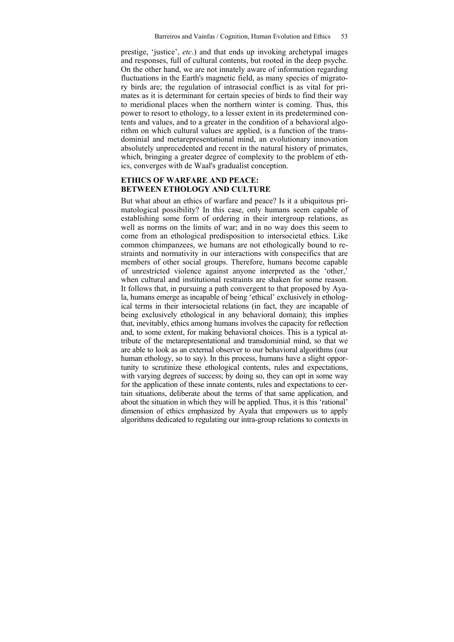prestige, 'justice', *etc*.) and that ends up invoking archetypal images and responses, full of cultural contents, but rooted in the deep psyche. On the other hand, we are not innately aware of information regarding fluctuations in the Earth's magnetic field, as many species of migratory birds are; the regulation of intrasocial conflict is as vital for primates as it is determinant for certain species of birds to find their way to meridional places when the northern winter is coming. Thus, this power to resort to ethology, to a lesser extent in its predetermined contents and values, and to a greater in the condition of a behavioral algorithm on which cultural values are applied, is a function of the transdominial and metarepresentational mind, an evolutionary innovation absolutely unprecedented and recent in the natural history of primates, which, bringing a greater degree of complexity to the problem of ethics, converges with de Waal's gradualist conception.

## **ETHICS OF WARFARE AND PEACE: BETWEEN ETHOLOGY AND CULTURE**

But what about an ethics of warfare and peace? Is it a ubiquitous primatological possibility? In this case, only humans seem capable of establishing some form of ordering in their intergroup relations, as well as norms on the limits of war; and in no way does this seem to come from an ethological predisposition to intersocietal ethics. Like common chimpanzees, we humans are not ethologically bound to restraints and normativity in our interactions with conspecifics that are members of other social groups. Therefore, humans become capable of unrestricted violence against anyone interpreted as the 'other,' when cultural and institutional restraints are shaken for some reason. It follows that, in pursuing a path convergent to that proposed by Ayala, humans emerge as incapable of being 'ethical' exclusively in ethological terms in their intersocietal relations (in fact, they are incapable of being exclusively ethological in any behavioral domain); this implies that, inevitably, ethics among humans involves the capacity for reflection and, to some extent, for making behavioral choices. This is a typical attribute of the metarepresentational and transdominial mind, so that we are able to look as an external observer to our behavioral algorithms (our human ethology, so to say). In this process, humans have a slight opportunity to scrutinize these ethological contents, rules and expectations, with varying degrees of success; by doing so, they can opt in some way for the application of these innate contents, rules and expectations to certain situations, deliberate about the terms of that same application, and about the situation in which they will be applied. Thus, it is this 'rational' dimension of ethics emphasized by Ayala that empowers us to apply algorithms dedicated to regulating our intra-group relations to contexts in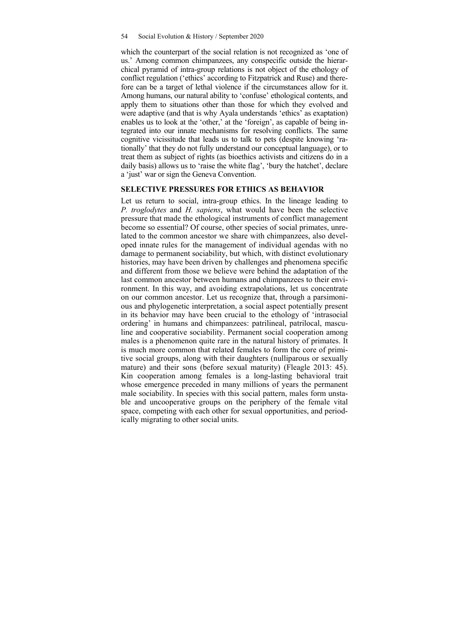which the counterpart of the social relation is not recognized as 'one of us.' Among common chimpanzees, any conspecific outside the hierarchical pyramid of intra-group relations is not object of the ethology of conflict regulation ('ethics' according to Fitzpatrick and Ruse) and therefore can be a target of lethal violence if the circumstances allow for it. Among humans, our natural ability to 'confuse' ethological contents, and apply them to situations other than those for which they evolved and were adaptive (and that is why Ayala understands 'ethics' as exaptation) enables us to look at the 'other,' at the 'foreign', as capable of being integrated into our innate mechanisms for resolving conflicts. The same cognitive vicissitude that leads us to talk to pets (despite knowing 'rationally' that they do not fully understand our conceptual language), or to treat them as subject of rights (as bioethics activists and citizens do in a daily basis) allows us to 'raise the white flag', 'bury the hatchet', declare a 'just' war or sign the Geneva Convention.

#### **SELECTIVE PRESSURES FOR ETHICS AS BEHAVIOR**

Let us return to social, intra-group ethics. In the lineage leading to *P. troglodytes* and *H. sapiens*, what would have been the selective pressure that made the ethological instruments of conflict management become so essential? Of course, other species of social primates, unrelated to the common ancestor we share with chimpanzees, also developed innate rules for the management of individual agendas with no damage to permanent sociability, but which, with distinct evolutionary histories, may have been driven by challenges and phenomena specific and different from those we believe were behind the adaptation of the last common ancestor between humans and chimpanzees to their environment. In this way, and avoiding extrapolations, let us concentrate on our common ancestor. Let us recognize that, through a parsimonious and phylogenetic interpretation, a social aspect potentially present in its behavior may have been crucial to the ethology of 'intrasocial ordering' in humans and chimpanzees: patrilineal, patrilocal, masculine and cooperative sociability. Permanent social cooperation among males is a phenomenon quite rare in the natural history of primates. It is much more common that related females to form the core of primitive social groups, along with their daughters (nulliparous or sexually mature) and their sons (before sexual maturity) (Fleagle 2013: 45). Kin cooperation among females is a long-lasting behavioral trait whose emergence preceded in many millions of years the permanent male sociability. In species with this social pattern, males form unstable and uncooperative groups on the periphery of the female vital space, competing with each other for sexual opportunities, and periodically migrating to other social units.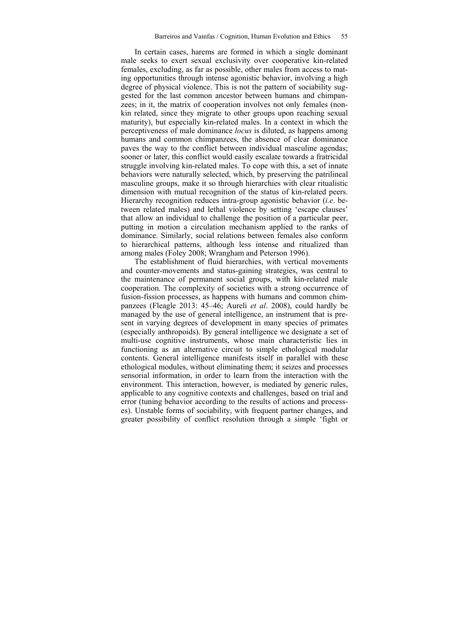In certain cases, harems are formed in which a single dominant male seeks to exert sexual exclusivity over cooperative kin-related females, excluding, as far as possible, other males from access to mating opportunities through intense agonistic behavior, involving a high degree of physical violence. This is not the pattern of sociability suggested for the last common ancestor between humans and chimpanzees; in it, the matrix of cooperation involves not only females (nonkin related, since they migrate to other groups upon reaching sexual maturity), but especially kin-related males. In a context in which the perceptiveness of male dominance *locus* is diluted, as happens among humans and common chimpanzees, the absence of clear dominance paves the way to the conflict between individual masculine agendas; sooner or later, this conflict would easily escalate towards a fratricidal struggle involving kin-related males. To cope with this, a set of innate behaviors were naturally selected, which, by preserving the patrilineal masculine groups, make it so through hierarchies with clear ritualistic dimension with mutual recognition of the status of kin-related peers. Hierarchy recognition reduces intra-group agonistic behavior (*i.e*. between related males) and lethal violence by setting 'escape clauses' that allow an individual to challenge the position of a particular peer, putting in motion a circulation mechanism applied to the ranks of dominance. Similarly, social relations between females also conform to hierarchical patterns, although less intense and ritualized than among males (Foley 2008; Wrangham and Peterson 1996).

The establishment of fluid hierarchies, with vertical movements and counter-movements and status-gaining strategies, was central to the maintenance of permanent social groups, with kin-related male cooperation. The complexity of societies with a strong occurrence of fusion-fission processes, as happens with humans and common chimpanzees (Fleagle 2013: 45–46; Aureli *et al*. 2008), could hardly be managed by the use of general intelligence, an instrument that is present in varying degrees of development in many species of primates (especially anthropoids). By general intelligence we designate a set of multi-use cognitive instruments, whose main characteristic lies in functioning as an alternative circuit to simple ethological modular contents. General intelligence manifests itself in parallel with these ethological modules, without eliminating them; it seizes and processes sensorial information, in order to learn from the interaction with the environment. This interaction, however, is mediated by generic rules, applicable to any cognitive contexts and challenges, based on trial and error (tuning behavior according to the results of actions and processes). Unstable forms of sociability, with frequent partner changes, and greater possibility of conflict resolution through a simple 'fight or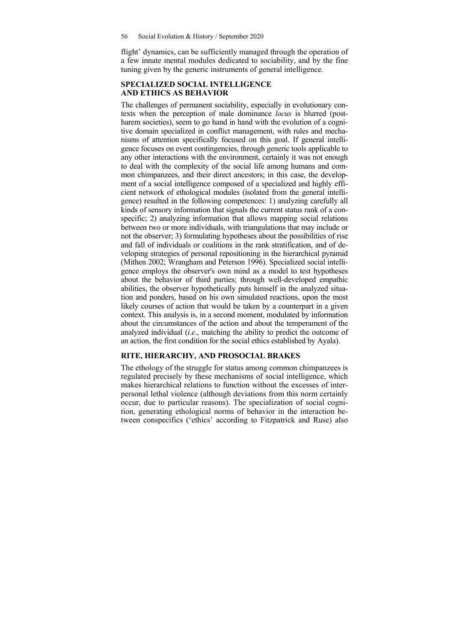flight' dynamics, can be sufficiently managed through the operation of a few innate mental modules dedicated to sociability, and by the fine tuning given by the generic instruments of general intelligence.

#### **SPECIALIZED SOCIAL INTELLIGENCE AND ETHICS AS BEHAVIOR**

The challenges of permanent sociability, especially in evolutionary contexts when the perception of male dominance *locus* is blurred (postharem societies), seem to go hand in hand with the evolution of a cognitive domain specialized in conflict management, with rules and mechanisms of attention specifically focused on this goal. If general intelligence focuses on event contingencies, through generic tools applicable to any other interactions with the environment, certainly it was not enough to deal with the complexity of the social life among humans and common chimpanzees, and their direct ancestors; in this case, the development of a social intelligence composed of a specialized and highly efficient network of ethological modules (isolated from the general intelligence) resulted in the following competences: 1) analyzing carefully all kinds of sensory information that signals the current status rank of a conspecific; 2) analyzing information that allows mapping social relations between two or more individuals, with triangulations that may include or not the observer; 3) formulating hypotheses about the possibilities of rise and fall of individuals or coalitions in the rank stratification, and of developing strategies of personal repositioning in the hierarchical pyramid (Mithen 2002; Wrangham and Peterson 1996). Specialized social intelligence employs the observer's own mind as a model to test hypotheses about the behavior of third parties; through well-developed empathic abilities, the observer hypothetically puts himself in the analyzed situation and ponders, based on his own simulated reactions, upon the most likely courses of action that would be taken by a counterpart in a given context. This analysis is, in a second moment, modulated by information about the circumstances of the action and about the temperament of the analyzed individual (*i.e*., matching the ability to predict the outcome of an action, the first condition for the social ethics established by Ayala).

### **RITE, HIERARCHY, AND PROSOCIAL BRAKES**

The ethology of the struggle for status among common chimpanzees is regulated precisely by these mechanisms of social intelligence, which makes hierarchical relations to function without the excesses of interpersonal lethal violence (although deviations from this norm certainly occur, due to particular reasons). The specialization of social cognition, generating ethological norms of behavior in the interaction between conspecifics ('ethics' according to Fitzpatrick and Ruse) also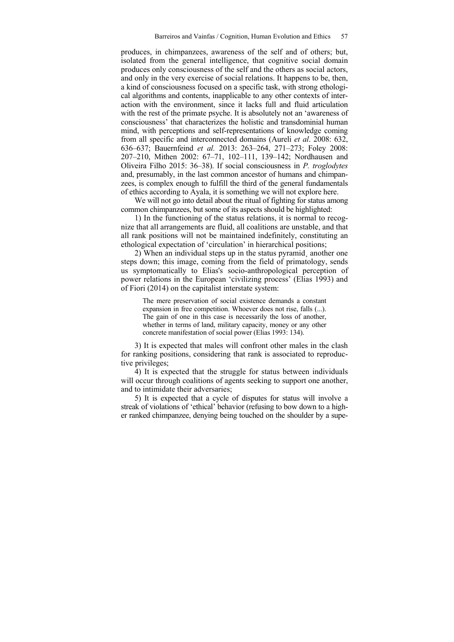produces, in chimpanzees, awareness of the self and of others; but, isolated from the general intelligence, that cognitive social domain produces only consciousness of the self and the others as social actors, and only in the very exercise of social relations. It happens to be, then, a kind of consciousness focused on a specific task, with strong ethological algorithms and contents, inapplicable to any other contexts of interaction with the environment, since it lacks full and fluid articulation with the rest of the primate psyche. It is absolutely not an 'awareness of consciousness' that characterizes the holistic and transdominial human mind, with perceptions and self-representations of knowledge coming from all specific and interconnected domains (Aureli *et al*. 2008: 632, 636–637; Bauernfeind *et al.* 2013: 263–264, 271–273; Foley 2008: 207–210, Mithen 2002: 67–71, 102–111, 139–142; Nordhausen and Oliveira Filho 2015: 36–38). If social consciousness in *P. troglodytes* and, presumably, in the last common ancestor of humans and chimpanzees, is complex enough to fulfill the third of the general fundamentals of ethics according to Ayala, it is something we will not explore here.

We will not go into detail about the ritual of fighting for status among common chimpanzees, but some of its aspects should be highlighted:

1) In the functioning of the status relations, it is normal to recognize that all arrangements are fluid, all coalitions are unstable, and that all rank positions will not be maintained indefinitely, constituting an ethological expectation of 'circulation' in hierarchical positions;

2) When an individual steps up in the status pyramid¸ another one steps down; this image, coming from the field of primatology, sends us symptomatically to Elias's socio-anthropological perception of power relations in the European 'civilizing process' (Elias 1993) and of Fiori (2014) on the capitalist interstate system:

The mere preservation of social existence demands a constant expansion in free competition. Whoever does not rise, falls (...). The gain of one in this case is necessarily the loss of another, whether in terms of land, military capacity, money or any other concrete manifestation of social power (Elias 1993: 134).

3) It is expected that males will confront other males in the clash for ranking positions, considering that rank is associated to reproductive privileges;

4) It is expected that the struggle for status between individuals will occur through coalitions of agents seeking to support one another, and to intimidate their adversaries;

5) It is expected that a cycle of disputes for status will involve a streak of violations of 'ethical' behavior (refusing to bow down to a higher ranked chimpanzee, denying being touched on the shoulder by a supe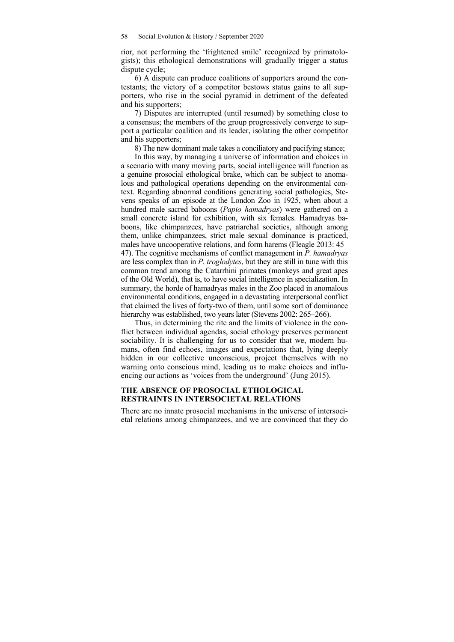rior, not performing the 'frightened smile' recognized by primatologists); this ethological demonstrations will gradually trigger a status dispute cycle;

6) A dispute can produce coalitions of supporters around the contestants; the victory of a competitor bestows status gains to all supporters, who rise in the social pyramid in detriment of the defeated and his supporters;

7) Disputes are interrupted (until resumed) by something close to a consensus; the members of the group progressively converge to support a particular coalition and its leader, isolating the other competitor and his supporters;

8) The new dominant male takes a conciliatory and pacifying stance;

In this way, by managing a universe of information and choices in a scenario with many moving parts, social intelligence will function as a genuine prosocial ethological brake, which can be subject to anomalous and pathological operations depending on the environmental context. Regarding abnormal conditions generating social pathologies, Stevens speaks of an episode at the London Zoo in 1925, when about a hundred male sacred baboons (*Papio hamadryas*) were gathered on a small concrete island for exhibition, with six females. Hamadryas baboons, like chimpanzees, have patriarchal societies, although among them, unlike chimpanzees, strict male sexual dominance is practiced, males have uncooperative relations, and form harems (Fleagle 2013: 45– 47). The cognitive mechanisms of conflict management in *P. hamadryas* are less complex than in *P. troglodytes*, but they are still in tune with this common trend among the Catarrhini primates (monkeys and great apes of the Old World), that is, to have social intelligence in specialization. In summary, the horde of hamadryas males in the Zoo placed in anomalous environmental conditions, engaged in a devastating interpersonal conflict that claimed the lives of forty-two of them, until some sort of dominance hierarchy was established, two years later (Stevens 2002: 265–266).

Thus, in determining the rite and the limits of violence in the conflict between individual agendas, social ethology preserves permanent sociability. It is challenging for us to consider that we, modern humans, often find echoes, images and expectations that, lying deeply hidden in our collective unconscious, project themselves with no warning onto conscious mind, leading us to make choices and influencing our actions as 'voices from the underground' (Jung 2015).

#### **THE ABSENCE OF PROSOCIAL ETHOLOGICAL RESTRAINTS IN INTERSOCIETAL RELATIONS**

There are no innate prosocial mechanisms in the universe of intersocietal relations among chimpanzees, and we are convinced that they do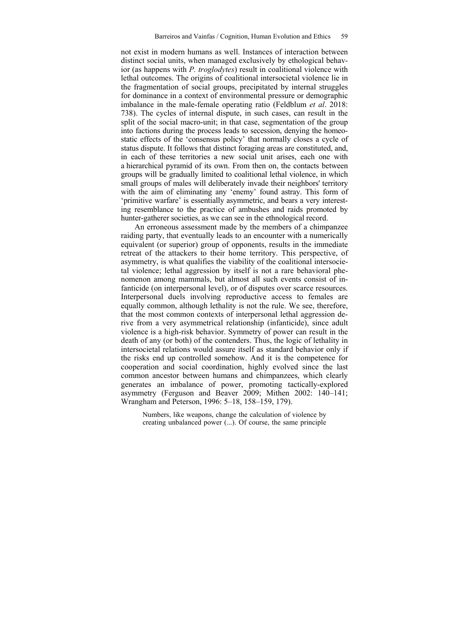not exist in modern humans as well. Instances of interaction between distinct social units, when managed exclusively by ethological behavior (as happens with *P. troglodytes*) result in coalitional violence with lethal outcomes. The origins of coalitional intersocietal violence lie in the fragmentation of social groups, precipitated by internal struggles for dominance in a context of environmental pressure or demographic imbalance in the male-female operating ratio (Feldblum *et al*. 2018: 738). The cycles of internal dispute, in such cases, can result in the split of the social macro-unit; in that case, segmentation of the group into factions during the process leads to secession, denying the homeostatic effects of the 'consensus policy' that normally closes a cycle of status dispute. It follows that distinct foraging areas are constituted, and, in each of these territories a new social unit arises, each one with a hierarchical pyramid of its own. From then on, the contacts between groups will be gradually limited to coalitional lethal violence, in which small groups of males will deliberately invade their neighbors' territory with the aim of eliminating any 'enemy' found astray. This form of 'primitive warfare' is essentially asymmetric, and bears a very interesting resemblance to the practice of ambushes and raids promoted by hunter-gatherer societies, as we can see in the ethnological record.

An erroneous assessment made by the members of a chimpanzee raiding party, that eventually leads to an encounter with a numerically equivalent (or superior) group of opponents, results in the immediate retreat of the attackers to their home territory. This perspective, of asymmetry, is what qualifies the viability of the coalitional intersocietal violence; lethal aggression by itself is not a rare behavioral phenomenon among mammals, but almost all such events consist of infanticide (on interpersonal level), or of disputes over scarce resources. Interpersonal duels involving reproductive access to females are equally common, although lethality is not the rule. We see, therefore, that the most common contexts of interpersonal lethal aggression derive from a very asymmetrical relationship (infanticide), since adult violence is a high-risk behavior. Symmetry of power can result in the death of any (or both) of the contenders. Thus, the logic of lethality in intersocietal relations would assure itself as standard behavior only if the risks end up controlled somehow. And it is the competence for cooperation and social coordination, highly evolved since the last common ancestor between humans and chimpanzees, which clearly generates an imbalance of power, promoting tactically-explored asymmetry (Ferguson and Beaver 2009; Mithen 2002: 140–141; Wrangham and Peterson, 1996: 5–18, 158–159, 179).

Numbers, like weapons, change the calculation of violence by creating unbalanced power (...). Of course, the same principle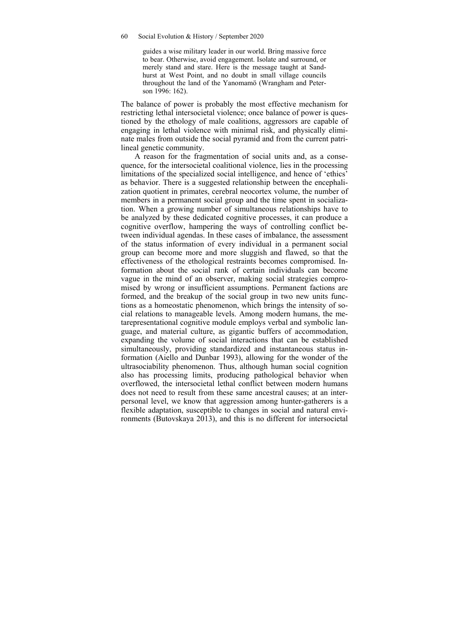guides a wise military leader in our world. Bring massive force to bear. Otherwise, avoid engagement. Isolate and surround, or merely stand and stare. Here is the message taught at Sandhurst at West Point, and no doubt in small village councils throughout the land of the Yanomamö (Wrangham and Peterson 1996: 162).

The balance of power is probably the most effective mechanism for restricting lethal intersocietal violence; once balance of power is questioned by the ethology of male coalitions, aggressors are capable of engaging in lethal violence with minimal risk, and physically eliminate males from outside the social pyramid and from the current patrilineal genetic community.

A reason for the fragmentation of social units and, as a consequence, for the intersocietal coalitional violence, lies in the processing limitations of the specialized social intelligence, and hence of 'ethics' as behavior. There is a suggested relationship between the encephalization quotient in primates, cerebral neocortex volume, the number of members in a permanent social group and the time spent in socialization. When a growing number of simultaneous relationships have to be analyzed by these dedicated cognitive processes, it can produce a cognitive overflow, hampering the ways of controlling conflict between individual agendas. In these cases of imbalance, the assessment of the status information of every individual in a permanent social group can become more and more sluggish and flawed, so that the effectiveness of the ethological restraints becomes compromised. Information about the social rank of certain individuals can become vague in the mind of an observer, making social strategies compromised by wrong or insufficient assumptions. Permanent factions are formed, and the breakup of the social group in two new units functions as a homeostatic phenomenon, which brings the intensity of social relations to manageable levels. Among modern humans, the metarepresentational cognitive module employs verbal and symbolic language, and material culture, as gigantic buffers of accommodation, expanding the volume of social interactions that can be established simultaneously, providing standardized and instantaneous status information (Aiello and Dunbar 1993), allowing for the wonder of the ultrasociability phenomenon. Thus, although human social cognition also has processing limits, producing pathological behavior when overflowed, the intersocietal lethal conflict between modern humans does not need to result from these same ancestral causes; at an interpersonal level, we know that aggression among hunter-gatherers is a flexible adaptation, susceptible to changes in social and natural environments (Butovskaya 2013), and this is no different for intersocietal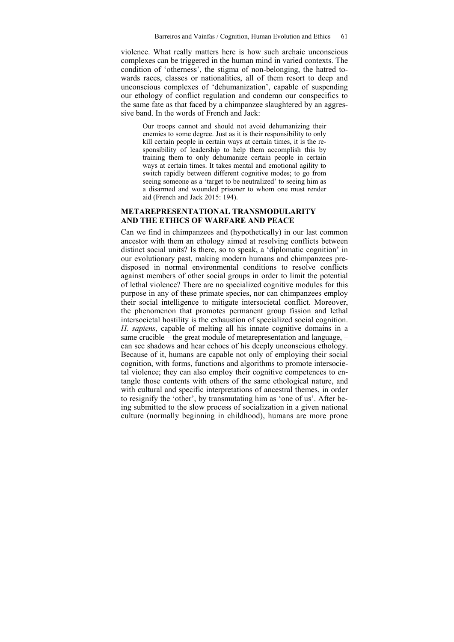violence. What really matters here is how such archaic unconscious complexes can be triggered in the human mind in varied contexts. The condition of 'otherness', the stigma of non-belonging, the hatred towards races, classes or nationalities, all of them resort to deep and unconscious complexes of 'dehumanization', capable of suspending our ethology of conflict regulation and condemn our conspecifics to the same fate as that faced by a chimpanzee slaughtered by an aggressive band. In the words of French and Jack:

Our troops cannot and should not avoid dehumanizing their enemies to some degree. Just as it is their responsibility to only kill certain people in certain ways at certain times, it is the responsibility of leadership to help them accomplish this by training them to only dehumanize certain people in certain ways at certain times. It takes mental and emotional agility to switch rapidly between different cognitive modes; to go from seeing someone as a 'target to be neutralized' to seeing him as a disarmed and wounded prisoner to whom one must render aid (French and Jack 2015: 194).

#### **METAREPRESENTATIONAL TRANSMODULARITY AND THE ETHICS OF WARFARE AND PEACE**

Can we find in chimpanzees and (hypothetically) in our last common ancestor with them an ethology aimed at resolving conflicts between distinct social units? Is there, so to speak, a 'diplomatic cognition' in our evolutionary past, making modern humans and chimpanzees predisposed in normal environmental conditions to resolve conflicts against members of other social groups in order to limit the potential of lethal violence? There are no specialized cognitive modules for this purpose in any of these primate species, nor can chimpanzees employ their social intelligence to mitigate intersocietal conflict. Moreover, the phenomenon that promotes permanent group fission and lethal intersocietal hostility is the exhaustion of specialized social cognition. *H. sapiens*, capable of melting all his innate cognitive domains in a same crucible – the great module of metarepresentation and language, – can see shadows and hear echoes of his deeply unconscious ethology. Because of it, humans are capable not only of employing their social cognition, with forms, functions and algorithms to promote intersocietal violence; they can also employ their cognitive competences to entangle those contents with others of the same ethological nature, and with cultural and specific interpretations of ancestral themes, in order to resignify the 'other', by transmutating him as 'one of us'. After being submitted to the slow process of socialization in a given national culture (normally beginning in childhood), humans are more prone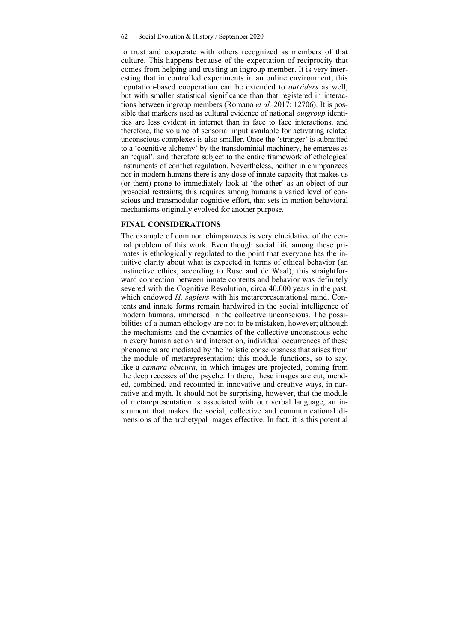to trust and cooperate with others recognized as members of that culture. This happens because of the expectation of reciprocity that comes from helping and trusting an ingroup member. It is very interesting that in controlled experiments in an online environment, this reputation-based cooperation can be extended to *outsiders* as well, but with smaller statistical significance than that registered in interactions between ingroup members (Romano *et al.* 2017: 12706). It is possible that markers used as cultural evidence of national *outgroup* identities are less evident in internet than in face to face interactions, and therefore, the volume of sensorial input available for activating related unconscious complexes is also smaller. Once the 'stranger' is submitted to a 'cognitive alchemy' by the transdominial machinery, he emerges as an 'equal', and therefore subject to the entire framework of ethological instruments of conflict regulation. Nevertheless, neither in chimpanzees nor in modern humans there is any dose of innate capacity that makes us (or them) prone to immediately look at 'the other' as an object of our prosocial restraints; this requires among humans a varied level of conscious and transmodular cognitive effort, that sets in motion behavioral mechanisms originally evolved for another purpose.

#### **FINAL CONSIDERATIONS**

The example of common chimpanzees is very elucidative of the central problem of this work. Even though social life among these primates is ethologically regulated to the point that everyone has the intuitive clarity about what is expected in terms of ethical behavior (an instinctive ethics, according to Ruse and de Waal), this straightforward connection between innate contents and behavior was definitely severed with the Cognitive Revolution, circa 40,000 years in the past, which endowed *H. sapiens* with his metarepresentational mind. Contents and innate forms remain hardwired in the social intelligence of modern humans, immersed in the collective unconscious. The possibilities of a human ethology are not to be mistaken, however; although the mechanisms and the dynamics of the collective unconscious echo in every human action and interaction, individual occurrences of these phenomena are mediated by the holistic consciousness that arises from the module of metarepresentation; this module functions, so to say, like a *camara obscura*, in which images are projected, coming from the deep recesses of the psyche. In there, these images are cut, mended, combined, and recounted in innovative and creative ways, in narrative and myth. It should not be surprising, however, that the module of metarepresentation is associated with our verbal language, an instrument that makes the social, collective and communicational dimensions of the archetypal images effective. In fact, it is this potential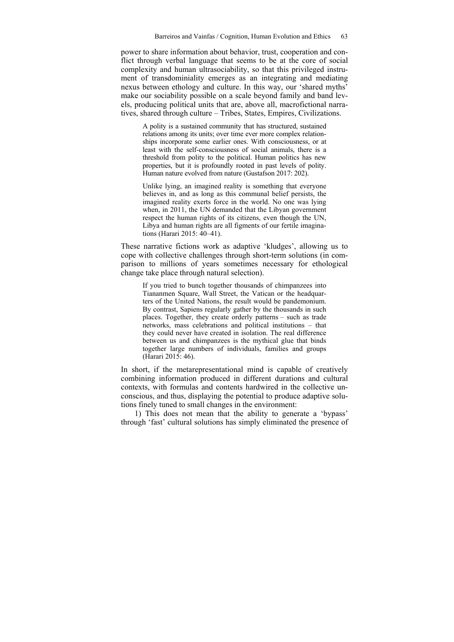power to share information about behavior, trust, cooperation and conflict through verbal language that seems to be at the core of social complexity and human ultrasociability, so that this privileged instrument of transdominiality emerges as an integrating and mediating nexus between ethology and culture. In this way, our 'shared myths' make our sociability possible on a scale beyond family and band levels, producing political units that are, above all, macrofictional narratives, shared through culture – Tribes, States, Empires, Civilizations.

A polity is a sustained community that has structured, sustained relations among its units; over time ever more complex relationships incorporate some earlier ones. With consciousness, or at least with the self-consciousness of social animals, there is a threshold from polity to the political. Human politics has new properties, but it is profoundly rooted in past levels of polity. Human nature evolved from nature (Gustafson 2017: 202).

Unlike lying, an imagined reality is something that everyone believes in, and as long as this communal belief persists, the imagined reality exerts force in the world. No one was lying when, in 2011, the UN demanded that the Libyan government respect the human rights of its citizens, even though the UN, Libya and human rights are all figments of our fertile imaginations (Harari 2015: 40–41).

These narrative fictions work as adaptive 'kludges', allowing us to cope with collective challenges through short-term solutions (in comparison to millions of years sometimes necessary for ethological change take place through natural selection).

If you tried to bunch together thousands of chimpanzees into Tiananmen Square, Wall Street, the Vatican or the headquarters of the United Nations, the result would be pandemonium. By contrast, Sapiens regularly gather by the thousands in such places. Together, they create orderly patterns – such as trade networks, mass celebrations and political institutions – that they could never have created in isolation. The real difference between us and chimpanzees is the mythical glue that binds together large numbers of individuals, families and groups (Harari 2015: 46).

In short, if the metarepresentational mind is capable of creatively combining information produced in different durations and cultural contexts, with formulas and contents hardwired in the collective unconscious, and thus, displaying the potential to produce adaptive solutions finely tuned to small changes in the environment:

1) This does not mean that the ability to generate a 'bypass' through 'fast' cultural solutions has simply eliminated the presence of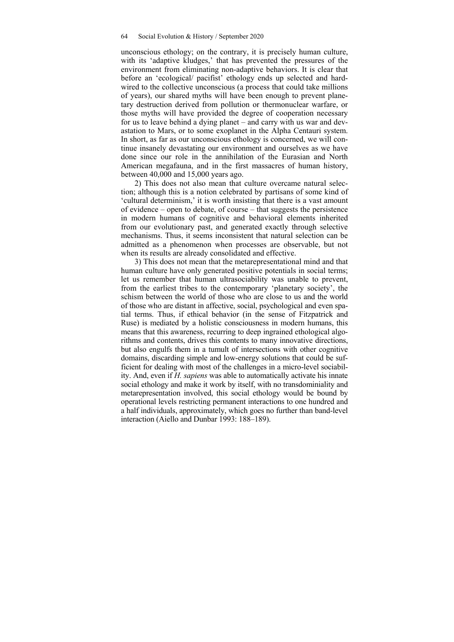unconscious ethology; on the contrary, it is precisely human culture, with its 'adaptive kludges,' that has prevented the pressures of the environment from eliminating non-adaptive behaviors. It is clear that before an 'ecological/ pacifist' ethology ends up selected and hardwired to the collective unconscious (a process that could take millions of years), our shared myths will have been enough to prevent planetary destruction derived from pollution or thermonuclear warfare, or those myths will have provided the degree of cooperation necessary for us to leave behind a dying planet – and carry with us war and devastation to Mars, or to some exoplanet in the Alpha Centauri system. In short, as far as our unconscious ethology is concerned, we will continue insanely devastating our environment and ourselves as we have done since our role in the annihilation of the Eurasian and North American megafauna, and in the first massacres of human history, between 40,000 and 15,000 years ago.

2) This does not also mean that culture overcame natural selection; although this is a notion celebrated by partisans of some kind of 'cultural determinism,' it is worth insisting that there is a vast amount of evidence – open to debate, of course – that suggests the persistence in modern humans of cognitive and behavioral elements inherited from our evolutionary past, and generated exactly through selective mechanisms. Thus, it seems inconsistent that natural selection can be admitted as a phenomenon when processes are observable, but not when its results are already consolidated and effective.

3) This does not mean that the metarepresentational mind and that human culture have only generated positive potentials in social terms; let us remember that human ultrasociability was unable to prevent, from the earliest tribes to the contemporary 'planetary society', the schism between the world of those who are close to us and the world of those who are distant in affective, social, psychological and even spatial terms. Thus, if ethical behavior (in the sense of Fitzpatrick and Ruse) is mediated by a holistic consciousness in modern humans, this means that this awareness, recurring to deep ingrained ethological algorithms and contents, drives this contents to many innovative directions, but also engulfs them in a tumult of intersections with other cognitive domains, discarding simple and low-energy solutions that could be sufficient for dealing with most of the challenges in a micro-level sociability. And, even if *H. sapiens* was able to automatically activate his innate social ethology and make it work by itself, with no transdominiality and metarepresentation involved, this social ethology would be bound by operational levels restricting permanent interactions to one hundred and a half individuals, approximately, which goes no further than band-level interaction (Aiello and Dunbar 1993: 188–189).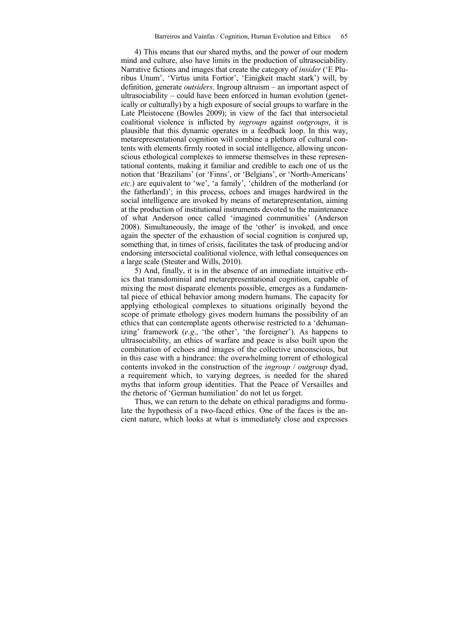4) This means that our shared myths, and the power of our modern mind and culture, also have limits in the production of ultrasociability. Narrative fictions and images that create the category of *insider* ('E Pluribus Unum', 'Virtus unita Fortior', 'Einigkeit macht stark') will, by definition, generate *outsiders*. Ingroup altruism – an important aspect of ultrasociability – could have been enforced in human evolution (genetically or culturally) by a high exposure of social groups to warfare in the Late Pleistocene (Bowles 2009); in view of the fact that intersocietal coalitional violence is inflicted by *ingroups* against *outgroups*, it is plausible that this dynamic operates in a feedback loop. In this way, metarepresentational cognition will combine a plethora of cultural contents with elements firmly rooted in social intelligence, allowing unconscious ethological complexes to immerse themselves in these representational contents, making it familiar and credible to each one of us the notion that 'Brazilians' (or 'Finns', or 'Belgians', or 'North-Americans' *etc*.) are equivalent to 'we', 'a family', 'children of the motherland (or the fatherland)'; in this process, echoes and images hardwired in the social intelligence are invoked by means of metarepresentation, aiming at the production of institutional instruments devoted to the maintenance of what Anderson once called 'imagined communities' (Anderson 2008). Simultaneously, the image of the 'other' is invoked, and once again the specter of the exhaustion of social cognition is conjured up, something that, in times of crisis, facilitates the task of producing and/or endorsing intersocietal coalitional violence, with lethal consequences on a large scale (Steuter and Wills, 2010).

5) And, finally, it is in the absence of an immediate intuitive ethics that transdominial and metarepresentational cognition, capable of mixing the most disparate elements possible, emerges as a fundamental piece of ethical behavior among modern humans. The capacity for applying ethological complexes to situations originally beyond the scope of primate ethology gives modern humans the possibility of an ethics that can contemplate agents otherwise restricted to a 'dehumanizing' framework (*e.g*., 'the other', 'the foreigner'). As happens to ultrasociability, an ethics of warfare and peace is also built upon the combination of echoes and images of the collective unconscious, but in this case with a hindrance: the overwhelming torrent of ethological contents invoked in the construction of the *ingroup* / *outgroup* dyad, a requirement which, to varying degrees, is needed for the shared myths that inform group identities. That the Peace of Versailles and the rhetoric of 'German humiliation' do not let us forget.

Thus, we can return to the debate on ethical paradigms and formulate the hypothesis of a two-faced ethics. One of the faces is the ancient nature, which looks at what is immediately close and expresses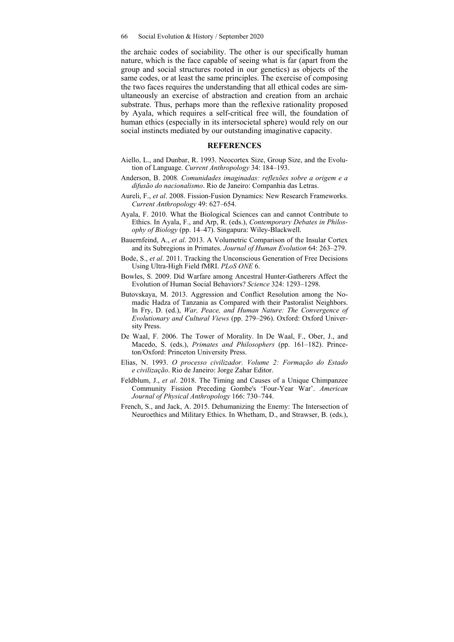the archaic codes of sociability. The other is our specifically human nature, which is the face capable of seeing what is far (apart from the group and social structures rooted in our genetics) as objects of the same codes, or at least the same principles. The exercise of composing the two faces requires the understanding that all ethical codes are simultaneously an exercise of abstraction and creation from an archaic substrate. Thus, perhaps more than the reflexive rationality proposed by Ayala, which requires a self-critical free will, the foundation of human ethics (especially in its intersocietal sphere) would rely on our social instincts mediated by our outstanding imaginative capacity.

#### **REFERENCES**

- Aiello, L., and Dunbar, R. 1993. Neocortex Size, Group Size, and the Evolution of Language. *Current Anthropology* 34: 184–193.
- Anderson, B. 2008*. Comunidades imaginadas: reflexões sobre a origem e a difusão do nacionalismo*. Rio de Janeiro: Companhia das Letras.
- Aureli, F., *et al*. 2008. Fission-Fusion Dynamics: New Research Frameworks. *Current Anthropology* 49: 627–654.
- Ayala, F. 2010. What the Biological Sciences can and cannot Contribute to Ethics. In Ayala, F., and Arp, R. (eds.), *Contemporary Debates in Philosophy of Biology* (pp. 14–47). Singapura: Wiley-Blackwell.
- Bauernfeind, A., *et al*. 2013. A Volumetric Comparison of the Insular Cortex and its Subregions in Primates. *Journal of Human Evolution* 64: 263–279.
- Bode, S., *et al*. 2011. Tracking the Unconscious Generation of Free Decisions Using Ultra-High Field fMRI. *PLoS ONE* 6.
- Bowles, S. 2009. Did Warfare among Ancestral Hunter-Gatherers Affect the Evolution of Human Social Behaviors? *Science* 324: 1293–1298.
- Butovskaya, M. 2013. Aggression and Conflict Resolution among the Nomadic Hadza of Tanzania as Compared with their Pastoralist Neighbors. In Fry, D. (ed.), *War, Peace, and Human Nature: The Convergence of Evolutionary and Cultural Views* (pp. 279–296). Oxford: Oxford University Press.
- De Waal, F. 2006. The Tower of Morality. In De Waal, F., Ober, J., and Macedo, S. (eds.), *Primates and Philosophers* (pp. 161–182). Princeton/Oxford: Princeton University Press.
- Elias, N. 1993. *O processo civilizador. Volume 2: Formação do Estado e civilização*. Rio de Janeiro: Jorge Zahar Editor.
- Feldblum, J., *et al*. 2018. The Timing and Causes of a Unique Chimpanzee Community Fission Preceding Gombe's 'Four-Year War'. *American Journal of Physical Anthropology* 166: 730–744.
- French, S., and Jack, A. 2015. Dehumanizing the Enemy: The Intersection of Neuroethics and Military Ethics. In Whetham, D., and Strawser, B. (eds.),